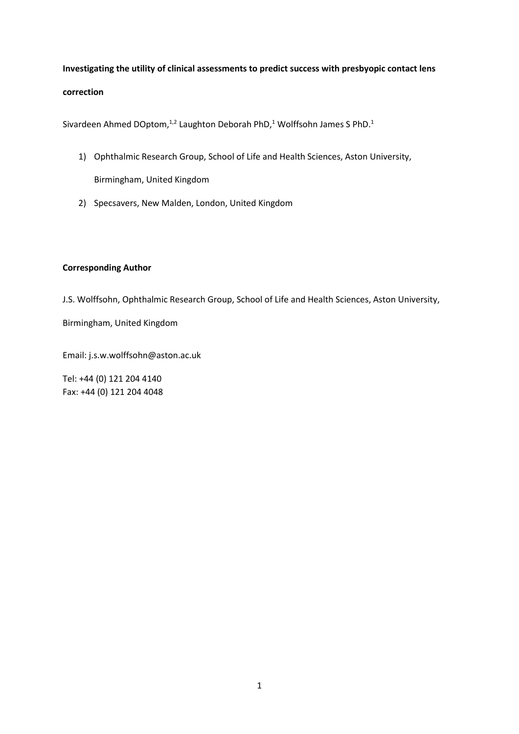**Investigating the utility of clinical assessments to predict success with presbyopic contact lens correction**

Sivardeen Ahmed DOptom,<sup>1,2</sup> Laughton Deborah PhD,<sup>1</sup> Wolffsohn James S PhD.<sup>1</sup>

- 1) Ophthalmic Research Group, School of Life and Health Sciences, Aston University, Birmingham, United Kingdom
- 2) Specsavers, New Malden, London, United Kingdom

# **Corresponding Author**

J.S. Wolffsohn, Ophthalmic Research Group, School of Life and Health Sciences, Aston University,

Birmingham, United Kingdom

Email: j.s.w.wolffsohn@aston.ac.uk

Tel: +44 (0) 121 204 4140 Fax: +44 (0) 121 204 4048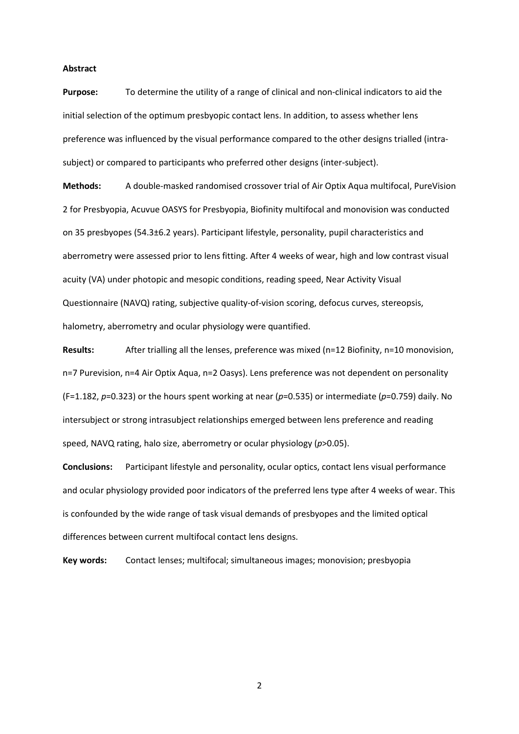#### **Abstract**

**Purpose:** To determine the utility of a range of clinical and non-clinical indicators to aid the initial selection of the optimum presbyopic contact lens. In addition, to assess whether lens preference was influenced by the visual performance compared to the other designs trialled (intrasubject) or compared to participants who preferred other designs (inter-subject).

**Methods:** A double-masked randomised crossover trial of Air Optix Aqua multifocal, PureVision 2 for Presbyopia, Acuvue OASYS for Presbyopia, Biofinity multifocal and monovision was conducted on 35 presbyopes (54.3±6.2 years). Participant lifestyle, personality, pupil characteristics and aberrometry were assessed prior to lens fitting. After 4 weeks of wear, high and low contrast visual acuity (VA) under photopic and mesopic conditions, reading speed, Near Activity Visual Questionnaire (NAVQ) rating, subjective quality-of-vision scoring, defocus curves, stereopsis, halometry, aberrometry and ocular physiology were quantified.

**Results:** After trialling all the lenses, preference was mixed (n=12 Biofinity, n=10 monovision, n=7 Purevision, n=4 Air Optix Aqua, n=2 Oasys). Lens preference was not dependent on personality (F=1.182, *p*=0.323) or the hours spent working at near (*p*=0.535) or intermediate (*p*=0.759) daily. No intersubject or strong intrasubject relationships emerged between lens preference and reading speed, NAVQ rating, halo size, aberrometry or ocular physiology (*p*>0.05).

**Conclusions:** Participant lifestyle and personality, ocular optics, contact lens visual performance and ocular physiology provided poor indicators of the preferred lens type after 4 weeks of wear. This is confounded by the wide range of task visual demands of presbyopes and the limited optical differences between current multifocal contact lens designs.

**Key words:** Contact lenses; multifocal; simultaneous images; monovision; presbyopia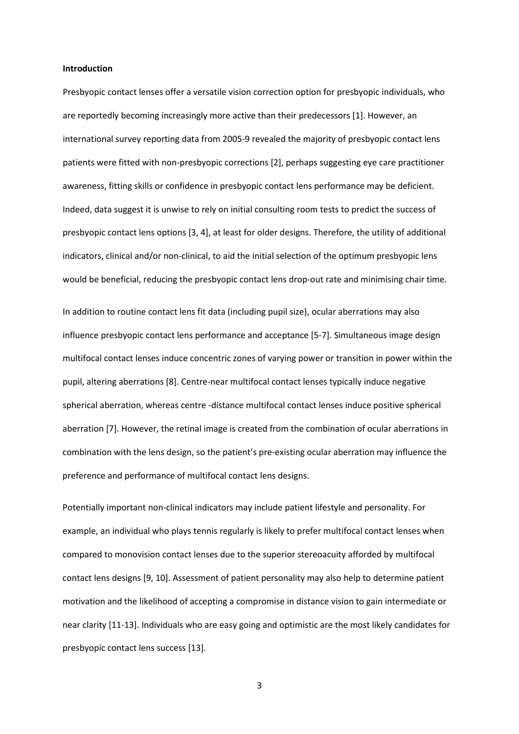#### **Introduction**

Presbyopic contact lenses offer a versatile vision correction option for presbyopic individuals, who are reportedly becoming increasingly more active than their predecessors [1]. However, an international survey reporting data from 2005-9 revealed the majority of presbyopic contact lens patients were fitted with non-presbyopic corrections [2], perhaps suggesting eye care practitioner awareness, fitting skills or confidence in presbyopic contact lens performance may be deficient. Indeed, data suggest it is unwise to rely on initial consulting room tests to predict the success of presbyopic contact lens options [3, 4], at least for older designs. Therefore, the utility of additional indicators, clinical and/or non-clinical, to aid the initial selection of the optimum presbyopic lens would be beneficial, reducing the presbyopic contact lens drop-out rate and minimising chair time.

In addition to routine contact lens fit data (including pupil size), ocular aberrations may also influence presbyopic contact lens performance and acceptance [5-7]. Simultaneous image design multifocal contact lenses induce concentric zones of varying power or transition in power within the pupil, altering aberrations [8]. Centre-near multifocal contact lenses typically induce negative spherical aberration, whereas centre -distance multifocal contact lenses induce positive spherical aberration [7]. However, the retinal image is created from the combination of ocular aberrations in combination with the lens design, so the patient's pre-existing ocular aberration may influence the preference and performance of multifocal contact lens designs.

Potentially important non-clinical indicators may include patient lifestyle and personality. For example, an individual who plays tennis regularly is likely to prefer multifocal contact lenses when compared to monovision contact lenses due to the superior stereoacuity afforded by multifocal contact lens designs [9, 10]. Assessment of patient personality may also help to determine patient motivation and the likelihood of accepting a compromise in distance vision to gain intermediate or near clarity [11-13]. Individuals who are easy going and optimistic are the most likely candidates for presbyopic contact lens success [13].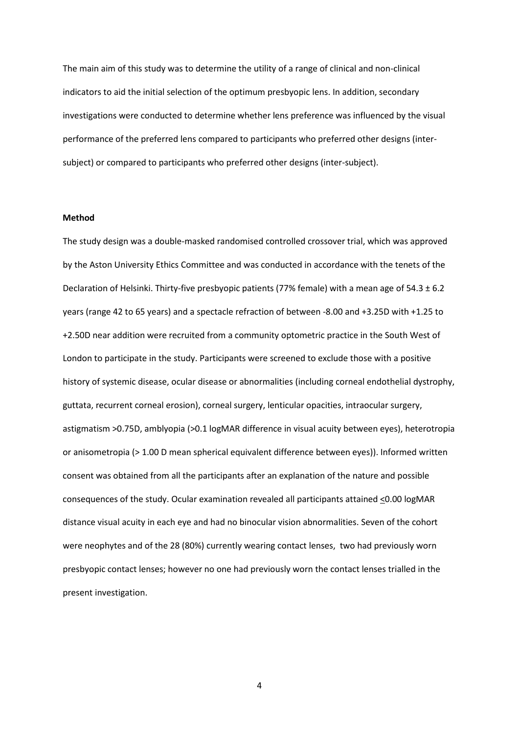The main aim of this study was to determine the utility of a range of clinical and non-clinical indicators to aid the initial selection of the optimum presbyopic lens. In addition, secondary investigations were conducted to determine whether lens preference was influenced by the visual performance of the preferred lens compared to participants who preferred other designs (intersubject) or compared to participants who preferred other designs (inter-subject).

## **Method**

The study design was a double-masked randomised controlled crossover trial, which was approved by the Aston University Ethics Committee and was conducted in accordance with the tenets of the Declaration of Helsinki. Thirty-five presbyopic patients (77% female) with a mean age of 54.3 ± 6.2 years (range 42 to 65 years) and a spectacle refraction of between -8.00 and +3.25D with +1.25 to +2.50D near addition were recruited from a community optometric practice in the South West of London to participate in the study. Participants were screened to exclude those with a positive history of systemic disease, ocular disease or abnormalities (including corneal endothelial dystrophy, guttata, recurrent corneal erosion), corneal surgery, lenticular opacities, intraocular surgery, astigmatism >0.75D, amblyopia (>0.1 logMAR difference in visual acuity between eyes), heterotropia or anisometropia (> 1.00 D mean spherical equivalent difference between eyes)). Informed written consent was obtained from all the participants after an explanation of the nature and possible consequences of the study. Ocular examination revealed all participants attained <0.00 logMAR distance visual acuity in each eye and had no binocular vision abnormalities. Seven of the cohort were neophytes and of the 28 (80%) currently wearing contact lenses, two had previously worn presbyopic contact lenses; however no one had previously worn the contact lenses trialled in the present investigation.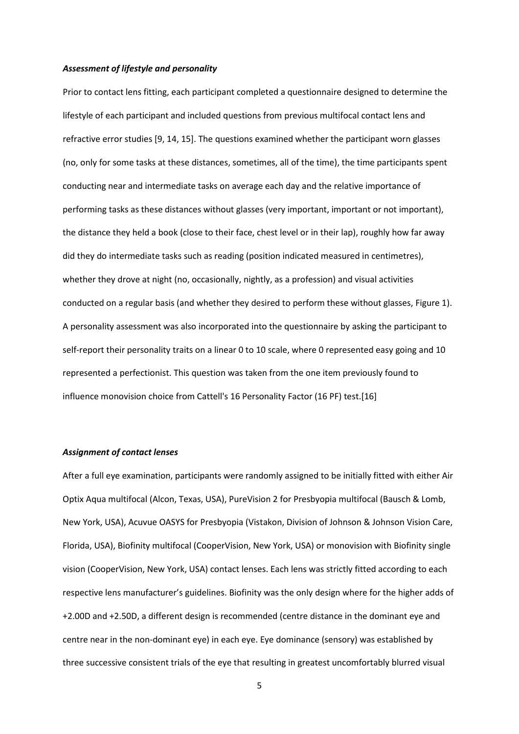#### *Assessment of lifestyle and personality*

Prior to contact lens fitting, each participant completed a questionnaire designed to determine the lifestyle of each participant and included questions from previous multifocal contact lens and refractive error studies [9, 14, 15]. The questions examined whether the participant worn glasses (no, only for some tasks at these distances, sometimes, all of the time), the time participants spent conducting near and intermediate tasks on average each day and the relative importance of performing tasks as these distances without glasses (very important, important or not important), the distance they held a book (close to their face, chest level or in their lap), roughly how far away did they do intermediate tasks such as reading (position indicated measured in centimetres), whether they drove at night (no, occasionally, nightly, as a profession) and visual activities conducted on a regular basis (and whether they desired to perform these without glasses, Figure 1). A personality assessment was also incorporated into the questionnaire by asking the participant to self-report their personality traits on a linear 0 to 10 scale, where 0 represented easy going and 10 represented a perfectionist. This question was taken from the one item previously found to influence monovision choice from Cattell's 16 Personality Factor (16 PF) test.[16]

#### *Assignment of contact lenses*

After a full eye examination, participants were randomly assigned to be initially fitted with either Air Optix Aqua multifocal (Alcon, Texas, USA), PureVision 2 for Presbyopia multifocal (Bausch & Lomb, New York, USA), Acuvue OASYS for Presbyopia (Vistakon, Division of Johnson & Johnson Vision Care, Florida, USA), Biofinity multifocal (CooperVision, New York, USA) or monovision with Biofinity single vision (CooperVision, New York, USA) contact lenses. Each lens was strictly fitted according to each respective lens manufacturer's guidelines. Biofinity was the only design where for the higher adds of +2.00D and +2.50D, a different design is recommended (centre distance in the dominant eye and centre near in the non-dominant eye) in each eye. Eye dominance (sensory) was established by three successive consistent trials of the eye that resulting in greatest uncomfortably blurred visual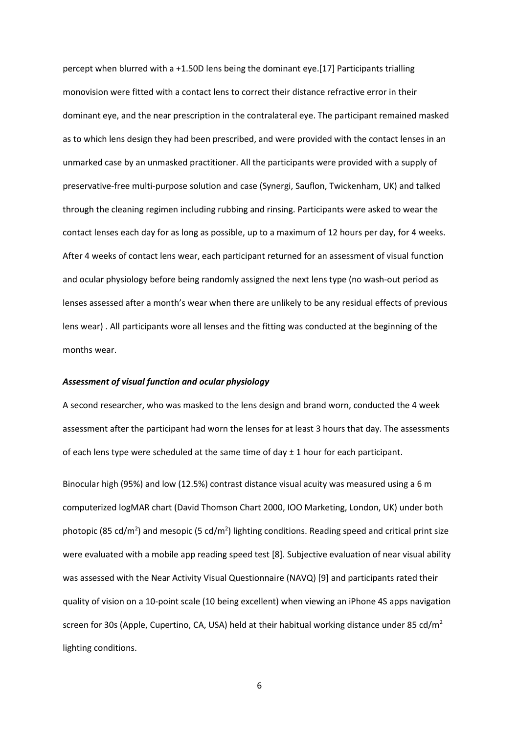percept when blurred with a +1.50D lens being the dominant eye.[17] Participants trialling monovision were fitted with a contact lens to correct their distance refractive error in their dominant eye, and the near prescription in the contralateral eye. The participant remained masked as to which lens design they had been prescribed, and were provided with the contact lenses in an unmarked case by an unmasked practitioner. All the participants were provided with a supply of preservative-free multi-purpose solution and case (Synergi, Sauflon, Twickenham, UK) and talked through the cleaning regimen including rubbing and rinsing. Participants were asked to wear the contact lenses each day for as long as possible, up to a maximum of 12 hours per day, for 4 weeks. After 4 weeks of contact lens wear, each participant returned for an assessment of visual function and ocular physiology before being randomly assigned the next lens type (no wash-out period as lenses assessed after a month's wear when there are unlikely to be any residual effects of previous lens wear) . All participants wore all lenses and the fitting was conducted at the beginning of the months wear.

## *Assessment of visual function and ocular physiology*

A second researcher, who was masked to the lens design and brand worn, conducted the 4 week assessment after the participant had worn the lenses for at least 3 hours that day. The assessments of each lens type were scheduled at the same time of day  $\pm$  1 hour for each participant.

Binocular high (95%) and low (12.5%) contrast distance visual acuity was measured using a 6 m computerized logMAR chart (David Thomson Chart 2000, IOO Marketing, London, UK) under both photopic (85 cd/m<sup>2</sup>) and mesopic (5 cd/m<sup>2</sup>) lighting conditions. Reading speed and critical print size were evaluated with a mobile app reading speed test [8]. Subjective evaluation of near visual ability was assessed with the Near Activity Visual Questionnaire (NAVQ) [9] and participants rated their quality of vision on a 10-point scale (10 being excellent) when viewing an iPhone 4S apps navigation screen for 30s (Apple, Cupertino, CA, USA) held at their habitual working distance under 85 cd/m<sup>2</sup> lighting conditions.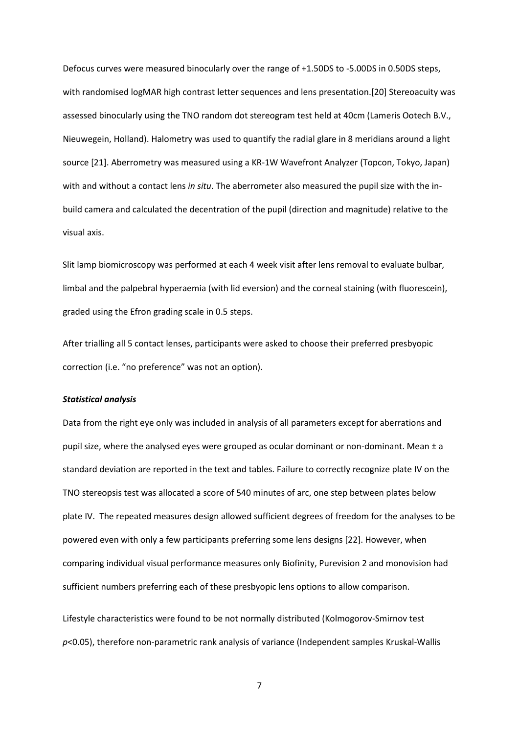Defocus curves were measured binocularly over the range of +1.50DS to -5.00DS in 0.50DS steps, with randomised logMAR high contrast letter sequences and lens presentation.[20] Stereoacuity was assessed binocularly using the TNO random dot stereogram test held at 40cm (Lameris Ootech B.V., Nieuwegein, Holland). Halometry was used to quantify the radial glare in 8 meridians around a light source [21]. Aberrometry was measured using a KR-1W Wavefront Analyzer (Topcon, Tokyo, Japan) with and without a contact lens *in situ*. The aberrometer also measured the pupil size with the inbuild camera and calculated the decentration of the pupil (direction and magnitude) relative to the visual axis.

Slit lamp biomicroscopy was performed at each 4 week visit after lens removal to evaluate bulbar, limbal and the palpebral hyperaemia (with lid eversion) and the corneal staining (with fluorescein), graded using the Efron grading scale in 0.5 steps.

After trialling all 5 contact lenses, participants were asked to choose their preferred presbyopic correction (i.e. "no preference" was not an option).

### *Statistical analysis*

Data from the right eye only was included in analysis of all parameters except for aberrations and pupil size, where the analysed eyes were grouped as ocular dominant or non-dominant. Mean  $\pm$  a standard deviation are reported in the text and tables. Failure to correctly recognize plate IV on the TNO stereopsis test was allocated a score of 540 minutes of arc, one step between plates below plate IV. The repeated measures design allowed sufficient degrees of freedom for the analyses to be powered even with only a few participants preferring some lens designs [22]. However, when comparing individual visual performance measures only Biofinity, Purevision 2 and monovision had sufficient numbers preferring each of these presbyopic lens options to allow comparison.

Lifestyle characteristics were found to be not normally distributed (Kolmogorov-Smirnov test *p*<0.05), therefore non-parametric rank analysis of variance (Independent samples Kruskal-Wallis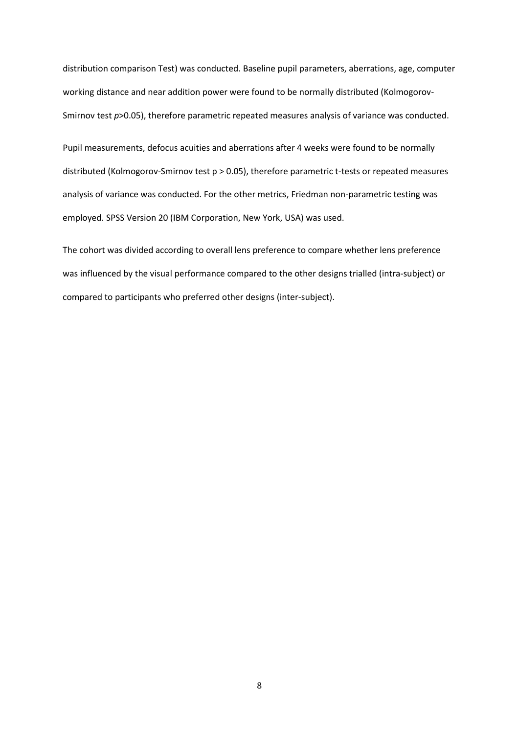distribution comparison Test) was conducted. Baseline pupil parameters, aberrations, age, computer working distance and near addition power were found to be normally distributed (Kolmogorov-Smirnov test  $p$ >0.05), therefore parametric repeated measures analysis of variance was conducted.

Pupil measurements, defocus acuities and aberrations after 4 weeks were found to be normally distributed (Kolmogorov-Smirnov test p > 0.05), therefore parametric t-tests or repeated measures analysis of variance was conducted. For the other metrics, Friedman non-parametric testing was employed. SPSS Version 20 (IBM Corporation, New York, USA) was used.

The cohort was divided according to overall lens preference to compare whether lens preference was influenced by the visual performance compared to the other designs trialled (intra-subject) or compared to participants who preferred other designs (inter-subject).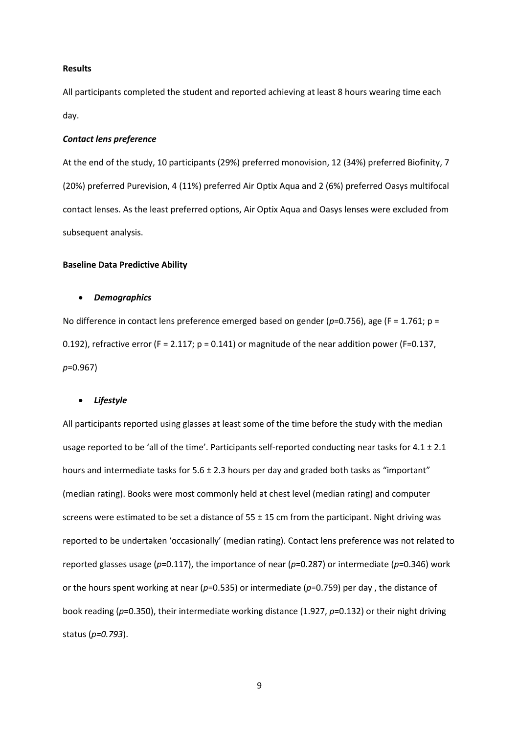### **Results**

All participants completed the student and reported achieving at least 8 hours wearing time each day.

### *Contact lens preference*

At the end of the study, 10 participants (29%) preferred monovision, 12 (34%) preferred Biofinity, 7 (20%) preferred Purevision, 4 (11%) preferred Air Optix Aqua and 2 (6%) preferred Oasys multifocal contact lenses. As the least preferred options, Air Optix Aqua and Oasys lenses were excluded from subsequent analysis.

#### **Baseline Data Predictive Ability**

#### • *Demographics*

No difference in contact lens preference emerged based on gender (*p*=0.756), age (F = 1.761; p = 0.192), refractive error (F = 2.117;  $p = 0.141$ ) or magnitude of the near addition power (F=0.137, *p*=0.967)

### • *Lifestyle*

All participants reported using glasses at least some of the time before the study with the median usage reported to be 'all of the time'. Participants self-reported conducting near tasks for  $4.1 \pm 2.1$ hours and intermediate tasks for  $5.6 \pm 2.3$  hours per day and graded both tasks as "important" (median rating). Books were most commonly held at chest level (median rating) and computer screens were estimated to be set a distance of 55 ± 15 cm from the participant. Night driving was reported to be undertaken 'occasionally' (median rating). Contact lens preference was not related to reported glasses usage (*p*=0.117), the importance of near (*p*=0.287) or intermediate (*p*=0.346) work or the hours spent working at near (*p*=0.535) or intermediate (*p*=0.759) per day , the distance of book reading (*p*=0.350), their intermediate working distance (1.927, *p*=0.132) or their night driving status (*p=0.793*).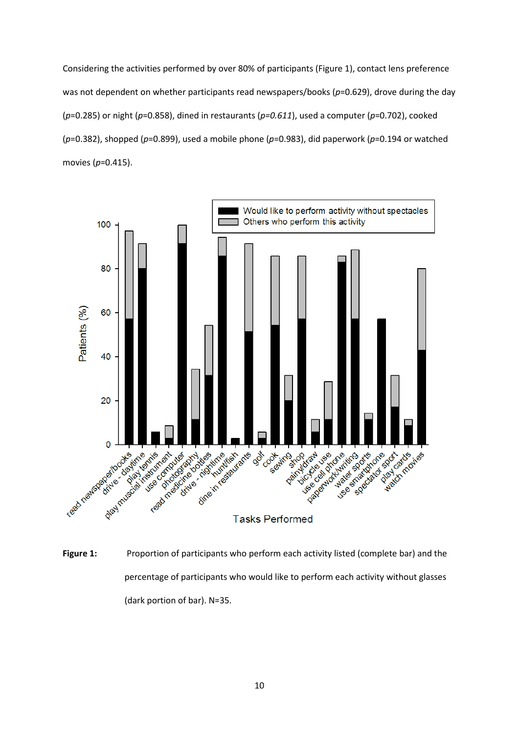Considering the activities performed by over 80% of participants (Figure 1), contact lens preference was not dependent on whether participants read newspapers/books (p=0.629), drove during the day (*p*=0.285) or night (*p*=0.858), dined in restaurants (*p=0.611*), used a computer (*p*=0.702), cooked (*p*=0.382), shopped (*p*=0.899), used a mobile phone (*p*=0.983), did paperwork (*p*=0.194 or watched movies (*p*=0.415).



Figure 1: Proportion of participants who perform each activity listed (complete bar) and the percentage of participants who would like to perform each activity without glasses (dark portion of bar). N=35.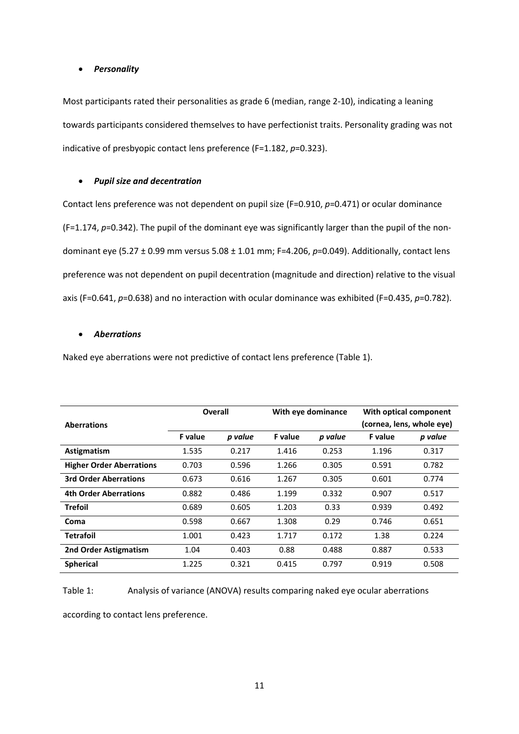## • *Personality*

Most participants rated their personalities as grade 6 (median, range 2-10), indicating a leaning towards participants considered themselves to have perfectionist traits. Personality grading was not indicative of presbyopic contact lens preference (F=1.182, *p*=0.323).

## • *Pupil size and decentration*

Contact lens preference was not dependent on pupil size (F=0.910, *p*=0.471) or ocular dominance (F=1.174, *p*=0.342). The pupil of the dominant eye was significantly larger than the pupil of the nondominant eye (5.27 ± 0.99 mm versus 5.08 ± 1.01 mm; F=4.206, *p*=0.049). Additionally, contact lens preference was not dependent on pupil decentration (magnitude and direction) relative to the visual axis (F=0.641, *p*=0.638) and no interaction with ocular dominance was exhibited (F=0.435, *p*=0.782).

## • *Aberrations*

Naked eye aberrations were not predictive of contact lens preference (Table 1).

|                                 | Overall        |         | With eye dominance |         | With optical component |                           |
|---------------------------------|----------------|---------|--------------------|---------|------------------------|---------------------------|
| <b>Aberrations</b>              |                |         |                    |         |                        | (cornea, lens, whole eye) |
|                                 | <b>F</b> value | p value | <b>F</b> value     | p value | <b>F</b> value         | p value                   |
| Astigmatism                     | 1.535          | 0.217   | 1.416              | 0.253   | 1.196                  | 0.317                     |
| <b>Higher Order Aberrations</b> | 0.703          | 0.596   | 1.266              | 0.305   | 0.591                  | 0.782                     |
| <b>3rd Order Aberrations</b>    | 0.673          | 0.616   | 1.267              | 0.305   | 0.601                  | 0.774                     |
| <b>4th Order Aberrations</b>    | 0.882          | 0.486   | 1.199              | 0.332   | 0.907                  | 0.517                     |
| <b>Trefoil</b>                  | 0.689          | 0.605   | 1.203              | 0.33    | 0.939                  | 0.492                     |
| Coma                            | 0.598          | 0.667   | 1.308              | 0.29    | 0.746                  | 0.651                     |
| <b>Tetrafoil</b>                | 1.001          | 0.423   | 1.717              | 0.172   | 1.38                   | 0.224                     |
| 2nd Order Astigmatism           | 1.04           | 0.403   | 0.88               | 0.488   | 0.887                  | 0.533                     |
| <b>Spherical</b>                | 1.225          | 0.321   | 0.415              | 0.797   | 0.919                  | 0.508                     |

Table 1: Analysis of variance (ANOVA) results comparing naked eye ocular aberrations

according to contact lens preference.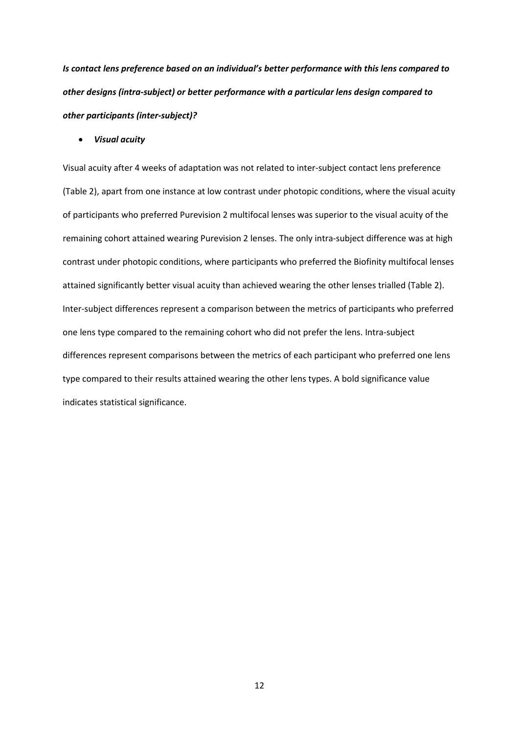*Is contact lens preference based on an individual's better performance with this lens compared to other designs (intra-subject) or better performance with a particular lens design compared to other participants (inter-subject)?* 

• *Visual acuity*

Visual acuity after 4 weeks of adaptation was not related to inter-subject contact lens preference (Table 2), apart from one instance at low contrast under photopic conditions, where the visual acuity of participants who preferred Purevision 2 multifocal lenses was superior to the visual acuity of the remaining cohort attained wearing Purevision 2 lenses. The only intra-subject difference was at high contrast under photopic conditions, where participants who preferred the Biofinity multifocal lenses attained significantly better visual acuity than achieved wearing the other lenses trialled (Table 2). Inter-subject differences represent a comparison between the metrics of participants who preferred one lens type compared to the remaining cohort who did not prefer the lens. Intra-subject differences represent comparisons between the metrics of each participant who preferred one lens type compared to their results attained wearing the other lens types. A bold significance value indicates statistical significance.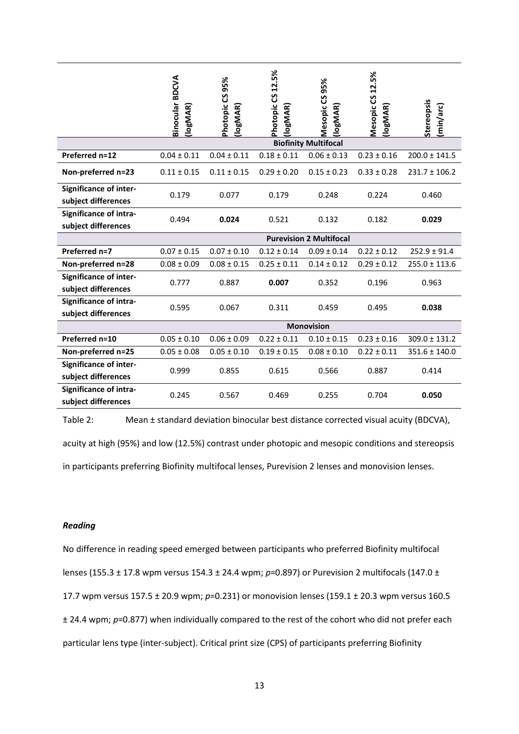|                                                      | Binocular BDCVA<br>(logMAR)    | 95%<br>Photopic CS<br>(logMAR) | Photopic CS 12.5%<br>(logMAR) | Mesopic CS 95%<br><b>IogMAR</b> | Mesopic CS 12.5%<br>(logMAR) | Stereopsis<br>(min/arc) |  |
|------------------------------------------------------|--------------------------------|--------------------------------|-------------------------------|---------------------------------|------------------------------|-------------------------|--|
|                                                      | <b>Biofinity Multifocal</b>    |                                |                               |                                 |                              |                         |  |
| Preferred n=12                                       | $0.04 \pm 0.11$                | $0.04 \pm 0.11$                | $0.18 \pm 0.11$               | $0.06 \pm 0.13$                 | $0.23 \pm 0.16$              | $200.0 \pm 141.5$       |  |
| Non-preferred n=23                                   | $0.11 \pm 0.15$                | $0.11 \pm 0.15$                | $0.29 \pm 0.20$               | $0.15 \pm 0.23$                 | $0.33 \pm 0.28$              | $231.7 \pm 106.2$       |  |
| <b>Significance of inter-</b><br>subject differences | 0.179                          | 0.077                          | 0.179                         | 0.248                           | 0.224                        | 0.460                   |  |
| <b>Significance of intra-</b><br>subject differences | 0.494                          | 0.024                          | 0.521                         | 0.132                           | 0.182                        | 0.029                   |  |
|                                                      | <b>Purevision 2 Multifocal</b> |                                |                               |                                 |                              |                         |  |
| Preferred n=7                                        | $0.07 \pm 0.15$                | $0.07 \pm 0.10$                | $0.12 \pm 0.14$               | $0.09 \pm 0.14$                 | $0.22 \pm 0.12$              | $252.9 \pm 91.4$        |  |
| Non-preferred n=28                                   | $0.08 \pm 0.09$                | $0.08 \pm 0.15$                | $0.25 \pm 0.11$               | $0.14 \pm 0.12$                 | $0.29 \pm 0.12$              | $255.0 \pm 113.6$       |  |
| <b>Significance of inter-</b><br>subject differences | 0.777                          | 0.887                          | 0.007                         | 0.352                           | 0.196                        | 0.963                   |  |
| <b>Significance of intra-</b><br>subject differences | 0.595                          | 0.067                          | 0.311                         | 0.459                           | 0.495                        | 0.038                   |  |
|                                                      | <b>Monovision</b>              |                                |                               |                                 |                              |                         |  |
| Preferred n=10                                       | $0.05 \pm 0.10$                | $0.06 \pm 0.09$                | $0.22 \pm 0.11$               | $0.10 \pm 0.15$                 | $0.23 \pm 0.16$              | $309.0 \pm 131.2$       |  |
| Non-preferred n=25                                   | $0.05 \pm 0.08$                | $0.05 \pm 0.10$                | $0.19 \pm 0.15$               | $0.08 \pm 0.10$                 | $0.22 \pm 0.11$              | $351.6 \pm 140.0$       |  |
| <b>Significance of inter-</b><br>subject differences | 0.999                          | 0.855                          | 0.615                         | 0.566                           | 0.887                        | 0.414                   |  |
| Significance of intra-<br>subject differences        | 0.245                          | 0.567                          | 0.469                         | 0.255                           | 0.704                        | 0.050                   |  |

Table 2: Mean ± standard deviation binocular best distance corrected visual acuity (BDCVA),

acuity at high (95%) and low (12.5%) contrast under photopic and mesopic conditions and stereopsis

in participants preferring Biofinity multifocal lenses, Purevision 2 lenses and monovision lenses.

### *Reading*

No difference in reading speed emerged between participants who preferred Biofinity multifocal lenses (155.3 ± 17.8 wpm versus 154.3 ± 24.4 wpm; *p*=0.897) or Purevision 2 multifocals (147.0 ± 17.7 wpm versus 157.5 ± 20.9 wpm; *p*=0.231) or monovision lenses (159.1 ± 20.3 wpm versus 160.5 ± 24.4 wpm; *p*=0.877) when individually compared to the rest of the cohort who did not prefer each particular lens type (inter-subject). Critical print size (CPS) of participants preferring Biofinity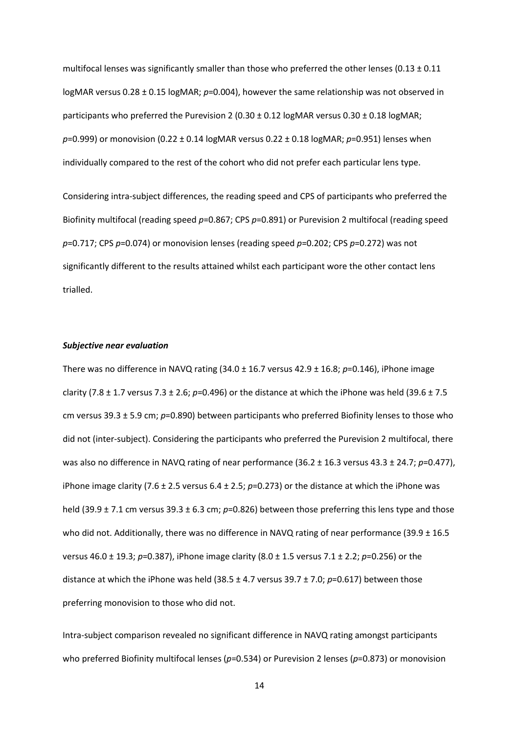multifocal lenses was significantly smaller than those who preferred the other lenses (0.13  $\pm$  0.11 logMAR versus 0.28 ± 0.15 logMAR; *p*=0.004), however the same relationship was not observed in participants who preferred the Purevision 2 (0.30  $\pm$  0.12 logMAR versus 0.30  $\pm$  0.18 logMAR; *p*=0.999) or monovision (0.22 ± 0.14 logMAR versus 0.22 ± 0.18 logMAR; *p*=0.951) lenses when individually compared to the rest of the cohort who did not prefer each particular lens type.

Considering intra-subject differences, the reading speed and CPS of participants who preferred the Biofinity multifocal (reading speed *p*=0.867; CPS *p*=0.891) or Purevision 2 multifocal (reading speed *p*=0.717; CPS *p*=0.074) or monovision lenses (reading speed *p*=0.202; CPS *p*=0.272) was not significantly different to the results attained whilst each participant wore the other contact lens trialled.

#### *Subjective near evaluation*

There was no difference in NAVQ rating (34.0 ± 16.7 versus 42.9 ± 16.8; *p*=0.146), iPhone image clarity (7.8 ± 1.7 versus 7.3 ± 2.6; *p*=0.496) or the distance at which the iPhone was held (39.6 ± 7.5 cm versus 39.3 ± 5.9 cm; *p*=0.890) between participants who preferred Biofinity lenses to those who did not (inter-subject). Considering the participants who preferred the Purevision 2 multifocal, there was also no difference in NAVQ rating of near performance (36.2 ± 16.3 versus 43.3 ± 24.7; *p*=0.477), iPhone image clarity (7.6  $\pm$  2.5 versus 6.4  $\pm$  2.5;  $p=0.273$ ) or the distance at which the iPhone was held (39.9 ± 7.1 cm versus 39.3 ± 6.3 cm; *p*=0.826) between those preferring this lens type and those who did not. Additionally, there was no difference in NAVQ rating of near performance (39.9 ± 16.5 versus 46.0 ± 19.3; *p*=0.387), iPhone image clarity (8.0 ± 1.5 versus 7.1 ± 2.2; *p*=0.256) or the distance at which the iPhone was held (38.5 ± 4.7 versus 39.7 ± 7.0; *p*=0.617) between those preferring monovision to those who did not.

Intra-subject comparison revealed no significant difference in NAVQ rating amongst participants who preferred Biofinity multifocal lenses ( $p=0.534$ ) or Purevision 2 lenses ( $p=0.873$ ) or monovision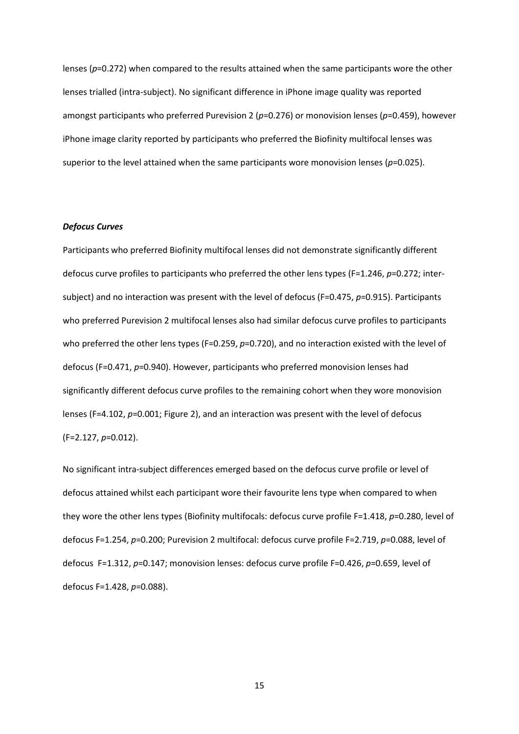lenses (*p*=0.272) when compared to the results attained when the same participants wore the other lenses trialled (intra-subject). No significant difference in iPhone image quality was reported amongst participants who preferred Purevision 2 (*p*=0.276) or monovision lenses (*p*=0.459), however iPhone image clarity reported by participants who preferred the Biofinity multifocal lenses was superior to the level attained when the same participants wore monovision lenses (p=0.025).

# *Defocus Curves*

Participants who preferred Biofinity multifocal lenses did not demonstrate significantly different defocus curve profiles to participants who preferred the other lens types (F=1.246, *p*=0.272; intersubject) and no interaction was present with the level of defocus (F=0.475, *p*=0.915). Participants who preferred Purevision 2 multifocal lenses also had similar defocus curve profiles to participants who preferred the other lens types (F=0.259, p=0.720), and no interaction existed with the level of defocus (F=0.471, *p*=0.940). However, participants who preferred monovision lenses had significantly different defocus curve profiles to the remaining cohort when they wore monovision lenses (F=4.102, *p*=0.001; Figure 2), and an interaction was present with the level of defocus (F=2.127, *p*=0.012).

No significant intra-subject differences emerged based on the defocus curve profile or level of defocus attained whilst each participant wore their favourite lens type when compared to when they wore the other lens types (Biofinity multifocals: defocus curve profile F=1.418, *p*=0.280, level of defocus F=1.254, *p*=0.200; Purevision 2 multifocal: defocus curve profile F=2.719, *p*=0.088, level of defocus F=1.312, *p*=0.147; monovision lenses: defocus curve profile F=0.426, *p*=0.659, level of defocus F=1.428, *p*=0.088).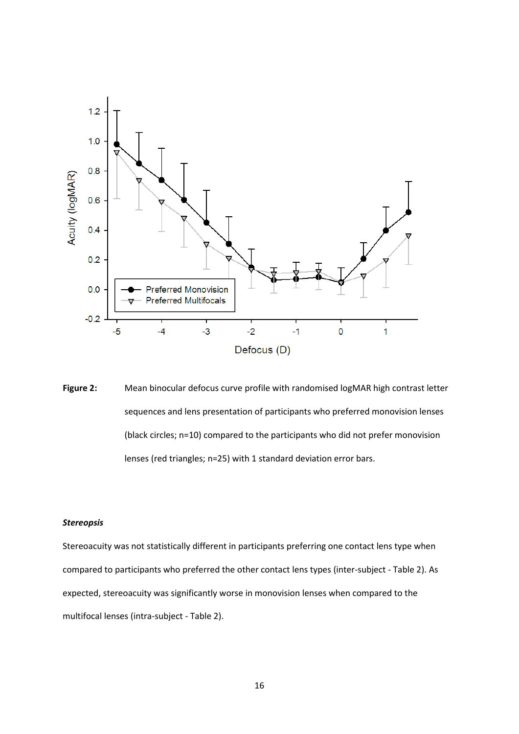

**Figure 2:** Mean binocular defocus curve profile with randomised logMAR high contrast letter sequences and lens presentation of participants who preferred monovision lenses (black circles; n=10) compared to the participants who did not prefer monovision lenses (red triangles; n=25) with 1 standard deviation error bars.

# *Stereopsis*

Stereoacuity was not statistically different in participants preferring one contact lens type when compared to participants who preferred the other contact lens types (inter-subject - Table 2). As expected, stereoacuity was significantly worse in monovision lenses when compared to the multifocal lenses (intra-subject - Table 2).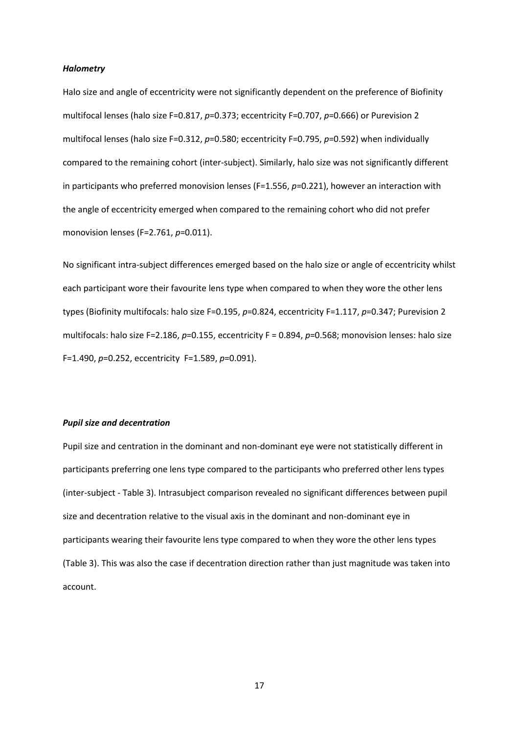### *Halometry*

Halo size and angle of eccentricity were not significantly dependent on the preference of Biofinity multifocal lenses (halo size F=0.817, *p*=0.373; eccentricity F=0.707, *p*=0.666) or Purevision 2 multifocal lenses (halo size F=0.312, *p*=0.580; eccentricity F=0.795, *p*=0.592) when individually compared to the remaining cohort (inter-subject). Similarly, halo size was not significantly different in participants who preferred monovision lenses (F=1.556, *p*=0.221), however an interaction with the angle of eccentricity emerged when compared to the remaining cohort who did not prefer monovision lenses (F=2.761, *p*=0.011).

No significant intra-subject differences emerged based on the halo size or angle of eccentricity whilst each participant wore their favourite lens type when compared to when they wore the other lens types (Biofinity multifocals: halo size F=0.195, *p*=0.824, eccentricity F=1.117, *p*=0.347; Purevision 2 multifocals: halo size F=2.186, *p*=0.155, eccentricity F = 0.894, *p*=0.568; monovision lenses: halo size F=1.490, *p*=0.252, eccentricity F=1.589, *p*=0.091).

#### *Pupil size and decentration*

Pupil size and centration in the dominant and non-dominant eye were not statistically different in participants preferring one lens type compared to the participants who preferred other lens types (inter-subject - Table 3). Intrasubject comparison revealed no significant differences between pupil size and decentration relative to the visual axis in the dominant and non-dominant eye in participants wearing their favourite lens type compared to when they wore the other lens types (Table 3). This was also the case if decentration direction rather than just magnitude was taken into account.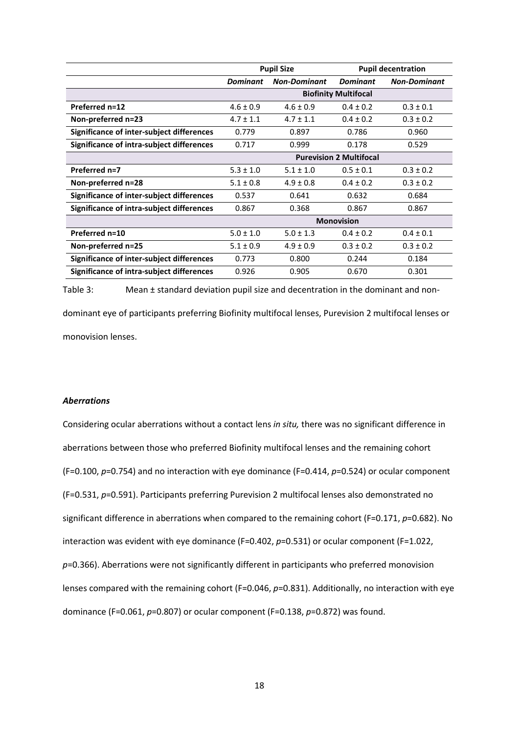|                                           |                                | <b>Pupil Size</b>   | <b>Pupil decentration</b> |                     |  |  |
|-------------------------------------------|--------------------------------|---------------------|---------------------------|---------------------|--|--|
|                                           | <b>Dominant</b>                | <b>Non-Dominant</b> | <b>Dominant</b>           | <b>Non-Dominant</b> |  |  |
|                                           | <b>Biofinity Multifocal</b>    |                     |                           |                     |  |  |
| Preferred n=12                            | $4.6 \pm 0.9$                  | $4.6 \pm 0.9$       | $0.4 \pm 0.2$             | $0.3 \pm 0.1$       |  |  |
| Non-preferred n=23                        | $4.7 \pm 1.1$                  | $4.7 \pm 1.1$       | $0.4 \pm 0.2$             | $0.3 \pm 0.2$       |  |  |
| Significance of inter-subject differences | 0.779                          | 0.897               | 0.786                     | 0.960               |  |  |
| Significance of intra-subject differences | 0.717                          | 0.999               | 0.178                     | 0.529               |  |  |
|                                           | <b>Purevision 2 Multifocal</b> |                     |                           |                     |  |  |
| Preferred n=7                             | $5.3 \pm 1.0$                  | $5.1 \pm 1.0$       | $0.5 \pm 0.1$             | $0.3 \pm 0.2$       |  |  |
| Non-preferred n=28                        | $5.1 \pm 0.8$                  | $4.9 \pm 0.8$       | $0.4 \pm 0.2$             | $0.3 \pm 0.2$       |  |  |
| Significance of inter-subject differences | 0.537                          | 0.641               | 0.632                     | 0.684               |  |  |
| Significance of intra-subject differences | 0.867                          | 0.368               | 0.867                     | 0.867               |  |  |
|                                           | <b>Monovision</b>              |                     |                           |                     |  |  |
| Preferred n=10                            | $5.0 \pm 1.0$                  | $5.0 \pm 1.3$       | $0.4 \pm 0.2$             | $0.4 \pm 0.1$       |  |  |
| Non-preferred n=25                        | $5.1 \pm 0.9$                  | $4.9 \pm 0.9$       | $0.3 \pm 0.2$             | $0.3 \pm 0.2$       |  |  |
| Significance of inter-subject differences | 0.773                          | 0.800               | 0.244                     | 0.184               |  |  |
| Significance of intra-subject differences | 0.926                          | 0.905               | 0.670                     | 0.301               |  |  |

Table 3: Mean ± standard deviation pupil size and decentration in the dominant and nondominant eye of participants preferring Biofinity multifocal lenses, Purevision 2 multifocal lenses or

monovision lenses.

## *Aberrations*

Considering ocular aberrations without a contact lens *in situ,* there was no significant difference in aberrations between those who preferred Biofinity multifocal lenses and the remaining cohort (F=0.100, *p*=0.754) and no interaction with eye dominance (F=0.414, *p*=0.524) or ocular component (F=0.531, *p*=0.591). Participants preferring Purevision 2 multifocal lenses also demonstrated no significant difference in aberrations when compared to the remaining cohort (F=0.171, *p*=0.682). No interaction was evident with eye dominance (F=0.402, p=0.531) or ocular component (F=1.022, *p*=0.366). Aberrations were not significantly different in participants who preferred monovision lenses compared with the remaining cohort (F=0.046, p=0.831). Additionally, no interaction with eye dominance (F=0.061, *p*=0.807) or ocular component (F=0.138, *p*=0.872) was found.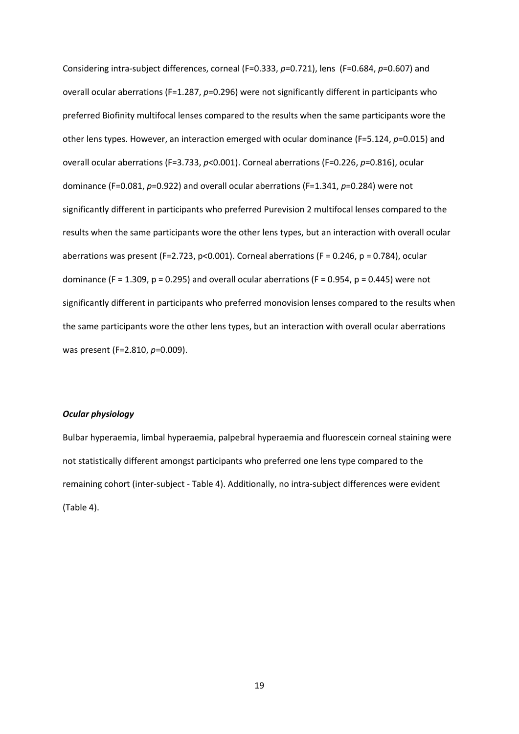Considering intra-subject differences, corneal (F=0.333, *p*=0.721), lens (F=0.684, *p*=0.607) and overall ocular aberrations (F=1.287, *p*=0.296) were not significantly different in participants who preferred Biofinity multifocal lenses compared to the results when the same participants wore the other lens types. However, an interaction emerged with ocular dominance (F=5.124, *p*=0.015) and overall ocular aberrations (F=3.733, *p*<0.001). Corneal aberrations (F=0.226, *p*=0.816), ocular dominance (F=0.081, *p*=0.922) and overall ocular aberrations (F=1.341, *p*=0.284) were not significantly different in participants who preferred Purevision 2 multifocal lenses compared to the results when the same participants wore the other lens types, but an interaction with overall ocular aberrations was present (F=2.723, p<0.001). Corneal aberrations (F = 0.246, p = 0.784), ocular dominance (F = 1.309, p = 0.295) and overall ocular aberrations (F = 0.954, p = 0.445) were not significantly different in participants who preferred monovision lenses compared to the results when the same participants wore the other lens types, but an interaction with overall ocular aberrations was present (F=2.810, *p*=0.009).

### *Ocular physiology*

Bulbar hyperaemia, limbal hyperaemia, palpebral hyperaemia and fluorescein corneal staining were not statistically different amongst participants who preferred one lens type compared to the remaining cohort (inter-subject - Table 4). Additionally, no intra-subject differences were evident (Table 4).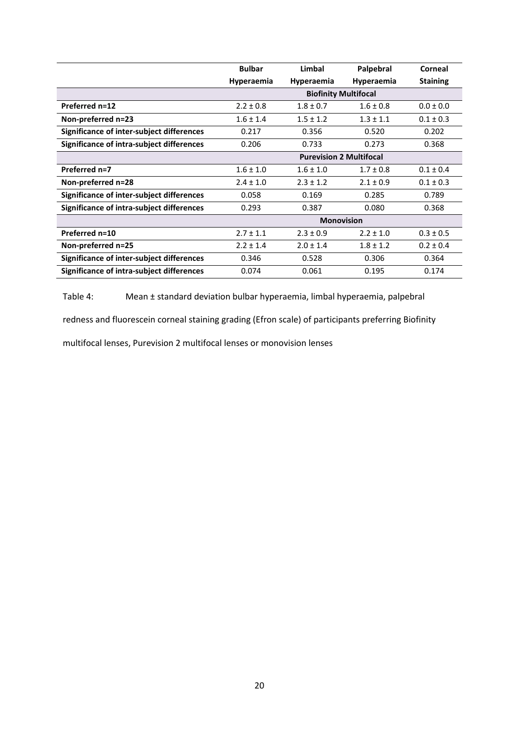|                                           | <b>Bulbar</b>                  | Limbal        | Palpebral     | Corneal         |  |  |
|-------------------------------------------|--------------------------------|---------------|---------------|-----------------|--|--|
|                                           | <b>Hyperaemia</b>              | Hyperaemia    | Hyperaemia    | <b>Staining</b> |  |  |
|                                           | <b>Biofinity Multifocal</b>    |               |               |                 |  |  |
| Preferred n=12                            | $2.2 \pm 0.8$                  | $1.8 \pm 0.7$ | $1.6 \pm 0.8$ | $0.0 \pm 0.0$   |  |  |
| Non-preferred n=23                        | $1.6 \pm 1.4$                  | $1.5 \pm 1.2$ | $1.3 \pm 1.1$ | $0.1 \pm 0.3$   |  |  |
| Significance of inter-subject differences | 0.217                          | 0.356         | 0.520         | 0.202           |  |  |
| Significance of intra-subject differences | 0.206                          | 0.733         | 0.273         | 0.368           |  |  |
|                                           | <b>Purevision 2 Multifocal</b> |               |               |                 |  |  |
| Preferred n=7                             | $1.6 \pm 1.0$                  | $1.6 \pm 1.0$ | $1.7 \pm 0.8$ | $0.1 \pm 0.4$   |  |  |
| Non-preferred n=28                        | $2.4 \pm 1.0$                  | $2.3 \pm 1.2$ | $2.1 \pm 0.9$ | $0.1 \pm 0.3$   |  |  |
| Significance of inter-subject differences | 0.058                          | 0.169         | 0.285         | 0.789           |  |  |
| Significance of intra-subject differences | 0.293                          | 0.387         | 0.080         | 0.368           |  |  |
|                                           | <b>Monovision</b>              |               |               |                 |  |  |
| Preferred n=10                            | $2.7 \pm 1.1$                  | $2.3 \pm 0.9$ | $2.2 \pm 1.0$ | $0.3 \pm 0.5$   |  |  |
| Non-preferred n=25                        | $2.2 \pm 1.4$                  | $2.0 \pm 1.4$ | $1.8 \pm 1.2$ | $0.2 \pm 0.4$   |  |  |
| Significance of inter-subject differences | 0.346                          | 0.528         | 0.306         | 0.364           |  |  |
| Significance of intra-subject differences | 0.074                          | 0.061         | 0.195         | 0.174           |  |  |

Table 4: Mean ± standard deviation bulbar hyperaemia, limbal hyperaemia, palpebral

redness and fluorescein corneal staining grading (Efron scale) of participants preferring Biofinity

multifocal lenses, Purevision 2 multifocal lenses or monovision lenses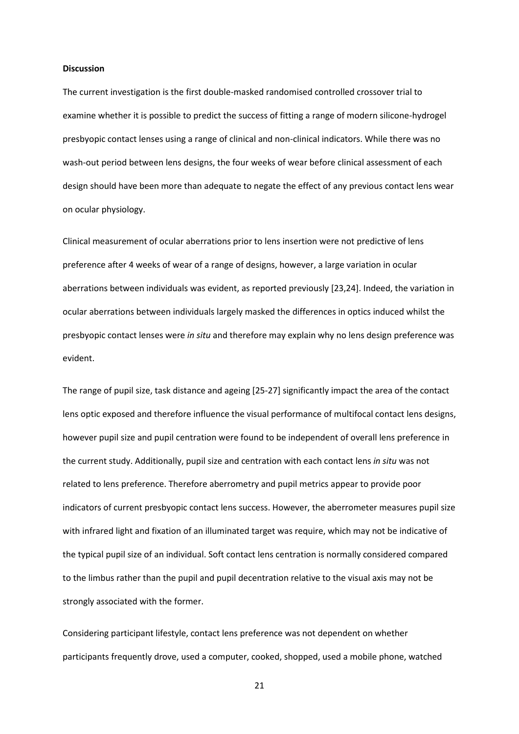#### **Discussion**

The current investigation is the first double-masked randomised controlled crossover trial to examine whether it is possible to predict the success of fitting a range of modern silicone-hydrogel presbyopic contact lenses using a range of clinical and non-clinical indicators. While there was no wash-out period between lens designs, the four weeks of wear before clinical assessment of each design should have been more than adequate to negate the effect of any previous contact lens wear on ocular physiology.

Clinical measurement of ocular aberrations prior to lens insertion were not predictive of lens preference after 4 weeks of wear of a range of designs, however, a large variation in ocular aberrations between individuals was evident, as reported previously [23,24]. Indeed, the variation in ocular aberrations between individuals largely masked the differences in optics induced whilst the presbyopic contact lenses were *in situ* and therefore may explain why no lens design preference was evident.

The range of pupil size, task distance and ageing [25-27] significantly impact the area of the contact lens optic exposed and therefore influence the visual performance of multifocal contact lens designs, however pupil size and pupil centration were found to be independent of overall lens preference in the current study. Additionally, pupil size and centration with each contact lens *in situ* was not related to lens preference. Therefore aberrometry and pupil metrics appear to provide poor indicators of current presbyopic contact lens success. However, the aberrometer measures pupil size with infrared light and fixation of an illuminated target was require, which may not be indicative of the typical pupil size of an individual. Soft contact lens centration is normally considered compared to the limbus rather than the pupil and pupil decentration relative to the visual axis may not be strongly associated with the former.

Considering participant lifestyle, contact lens preference was not dependent on whether participants frequently drove, used a computer, cooked, shopped, used a mobile phone, watched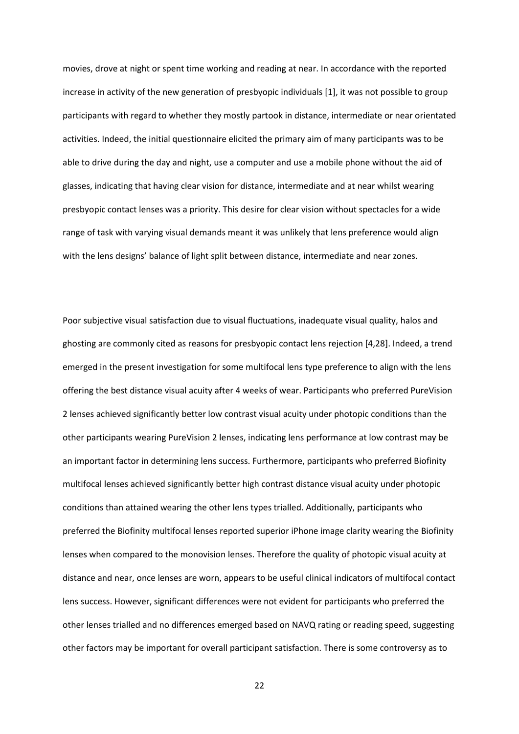movies, drove at night or spent time working and reading at near. In accordance with the reported increase in activity of the new generation of presbyopic individuals [1], it was not possible to group participants with regard to whether they mostly partook in distance, intermediate or near orientated activities. Indeed, the initial questionnaire elicited the primary aim of many participants was to be able to drive during the day and night, use a computer and use a mobile phone without the aid of glasses, indicating that having clear vision for distance, intermediate and at near whilst wearing presbyopic contact lenses was a priority. This desire for clear vision without spectacles for a wide range of task with varying visual demands meant it was unlikely that lens preference would align with the lens designs' balance of light split between distance, intermediate and near zones.

Poor subjective visual satisfaction due to visual fluctuations, inadequate visual quality, halos and ghosting are commonly cited as reasons for presbyopic contact lens rejection [4,28]. Indeed, a trend emerged in the present investigation for some multifocal lens type preference to align with the lens offering the best distance visual acuity after 4 weeks of wear. Participants who preferred PureVision 2 lenses achieved significantly better low contrast visual acuity under photopic conditions than the other participants wearing PureVision 2 lenses, indicating lens performance at low contrast may be an important factor in determining lens success. Furthermore, participants who preferred Biofinity multifocal lenses achieved significantly better high contrast distance visual acuity under photopic conditions than attained wearing the other lens types trialled. Additionally, participants who preferred the Biofinity multifocal lenses reported superior iPhone image clarity wearing the Biofinity lenses when compared to the monovision lenses. Therefore the quality of photopic visual acuity at distance and near, once lenses are worn, appears to be useful clinical indicators of multifocal contact lens success. However, significant differences were not evident for participants who preferred the other lenses trialled and no differences emerged based on NAVQ rating or reading speed, suggesting other factors may be important for overall participant satisfaction. There is some controversy as to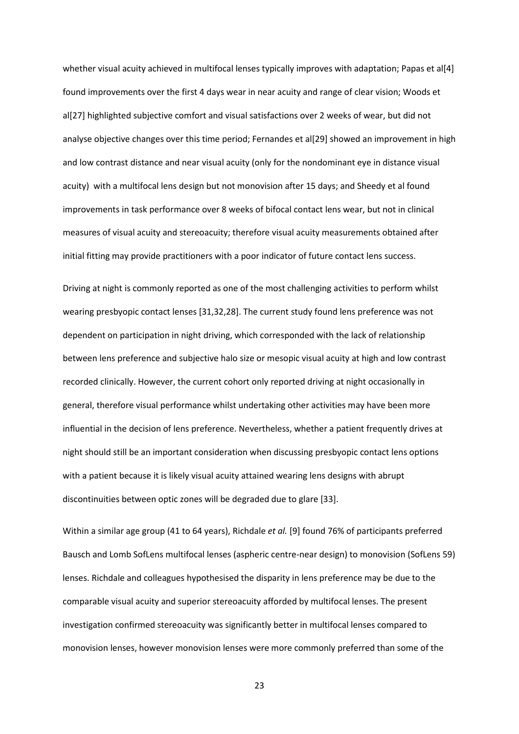whether visual acuity achieved in multifocal lenses typically improves with adaptation; Papas et al[4] found improvements over the first 4 days wear in near acuity and range of clear vision; Woods et al[27] highlighted subjective comfort and visual satisfactions over 2 weeks of wear, but did not analyse objective changes over this time period; Fernandes et al[29] showed an improvement in high and low contrast distance and near visual acuity (only for the nondominant eye in distance visual acuity) with a multifocal lens design but not monovision after 15 days; and Sheedy et al found improvements in task performance over 8 weeks of bifocal contact lens wear, but not in clinical measures of visual acuity and stereoacuity; therefore visual acuity measurements obtained after initial fitting may provide practitioners with a poor indicator of future contact lens success.

Driving at night is commonly reported as one of the most challenging activities to perform whilst wearing presbyopic contact lenses [31,32,28]. The current study found lens preference was not dependent on participation in night driving, which corresponded with the lack of relationship between lens preference and subjective halo size or mesopic visual acuity at high and low contrast recorded clinically. However, the current cohort only reported driving at night occasionally in general, therefore visual performance whilst undertaking other activities may have been more influential in the decision of lens preference. Nevertheless, whether a patient frequently drives at night should still be an important consideration when discussing presbyopic contact lens options with a patient because it is likely visual acuity attained wearing lens designs with abrupt discontinuities between optic zones will be degraded due to glare [33].

Within a similar age group (41 to 64 years), Richdale *et al.* [9] found 76% of participants preferred Bausch and Lomb SofLens multifocal lenses (aspheric centre-near design) to monovision (SofLens 59) lenses. Richdale and colleagues hypothesised the disparity in lens preference may be due to the comparable visual acuity and superior stereoacuity afforded by multifocal lenses. The present investigation confirmed stereoacuity was significantly better in multifocal lenses compared to monovision lenses, however monovision lenses were more commonly preferred than some of the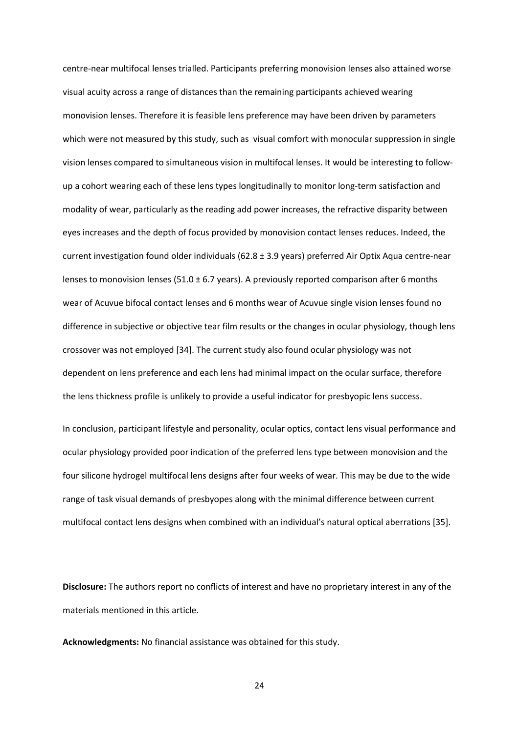centre-near multifocal lenses trialled. Participants preferring monovision lenses also attained worse visual acuity across a range of distances than the remaining participants achieved wearing monovision lenses. Therefore it is feasible lens preference may have been driven by parameters which were not measured by this study, such as visual comfort with monocular suppression in single vision lenses compared to simultaneous vision in multifocal lenses. It would be interesting to followup a cohort wearing each of these lens types longitudinally to monitor long-term satisfaction and modality of wear, particularly as the reading add power increases, the refractive disparity between eyes increases and the depth of focus provided by monovision contact lenses reduces. Indeed, the current investigation found older individuals (62.8 ± 3.9 years) preferred Air Optix Aqua centre-near lenses to monovision lenses (51.0  $\pm$  6.7 years). A previously reported comparison after 6 months wear of Acuvue bifocal contact lenses and 6 months wear of Acuvue single vision lenses found no difference in subjective or objective tear film results or the changes in ocular physiology, though lens crossover was not employed [34]. The current study also found ocular physiology was not dependent on lens preference and each lens had minimal impact on the ocular surface, therefore the lens thickness profile is unlikely to provide a useful indicator for presbyopic lens success.

In conclusion, participant lifestyle and personality, ocular optics, contact lens visual performance and ocular physiology provided poor indication of the preferred lens type between monovision and the four silicone hydrogel multifocal lens designs after four weeks of wear. This may be due to the wide range of task visual demands of presbyopes along with the minimal difference between current multifocal contact lens designs when combined with an individual's natural optical aberrations [35].

**Disclosure:** The authors report no conflicts of interest and have no proprietary interest in any of the materials mentioned in this article.

**Acknowledgments:** No financial assistance was obtained for this study.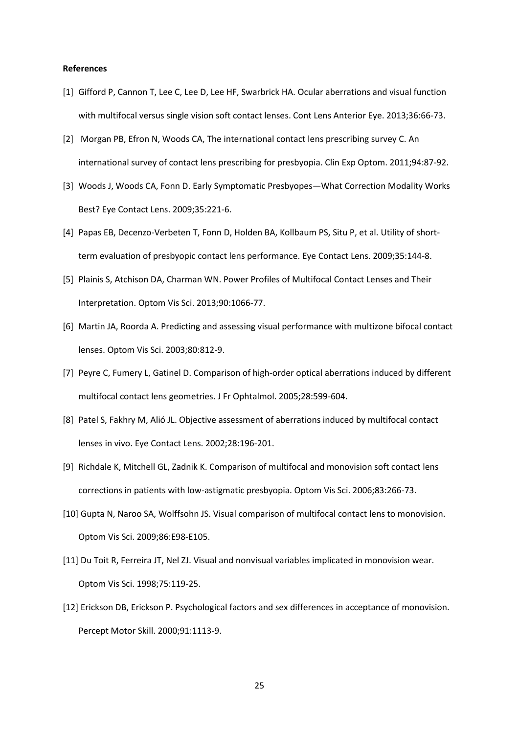#### **References**

- [1] Gifford P, Cannon T, Lee C, Lee D, Lee HF, Swarbrick HA. Ocular aberrations and visual function with multifocal versus single vision soft contact lenses. Cont Lens Anterior Eye. 2013;36:66-73.
- [2] Morgan PB, Efron N, Woods CA, The international contact lens prescribing survey C. An international survey of contact lens prescribing for presbyopia. Clin Exp Optom. 2011;94:87-92.
- [3] Woods J, Woods CA, Fonn D. Early Symptomatic Presbyopes—What Correction Modality Works Best? Eye Contact Lens. 2009;35:221-6.
- [4] Papas EB, Decenzo-Verbeten T, Fonn D, Holden BA, Kollbaum PS, Situ P, et al. Utility of shortterm evaluation of presbyopic contact lens performance. Eye Contact Lens. 2009;35:144-8.
- [5] Plainis S, Atchison DA, Charman WN. Power Profiles of Multifocal Contact Lenses and Their Interpretation. Optom Vis Sci. 2013;90:1066-77.
- [6] Martin JA, Roorda A. Predicting and assessing visual performance with multizone bifocal contact lenses. Optom Vis Sci. 2003;80:812-9.
- [7] Peyre C, Fumery L, Gatinel D. Comparison of high-order optical aberrations induced by different multifocal contact lens geometries. J Fr Ophtalmol. 2005;28:599-604.
- [8] Patel S, Fakhry M, Alió JL. Objective assessment of aberrations induced by multifocal contact lenses in vivo. Eye Contact Lens. 2002;28:196-201.
- [9] Richdale K, Mitchell GL, Zadnik K. Comparison of multifocal and monovision soft contact lens corrections in patients with low-astigmatic presbyopia. Optom Vis Sci. 2006;83:266-73.
- [10] Gupta N, Naroo SA, Wolffsohn JS. Visual comparison of multifocal contact lens to monovision. Optom Vis Sci. 2009;86:E98-E105.
- [11] Du Toit R, Ferreira JT, Nel ZJ. Visual and nonvisual variables implicated in monovision wear. Optom Vis Sci. 1998;75:119-25.
- [12] Erickson DB, Erickson P. Psychological factors and sex differences in acceptance of monovision. Percept Motor Skill. 2000;91:1113-9.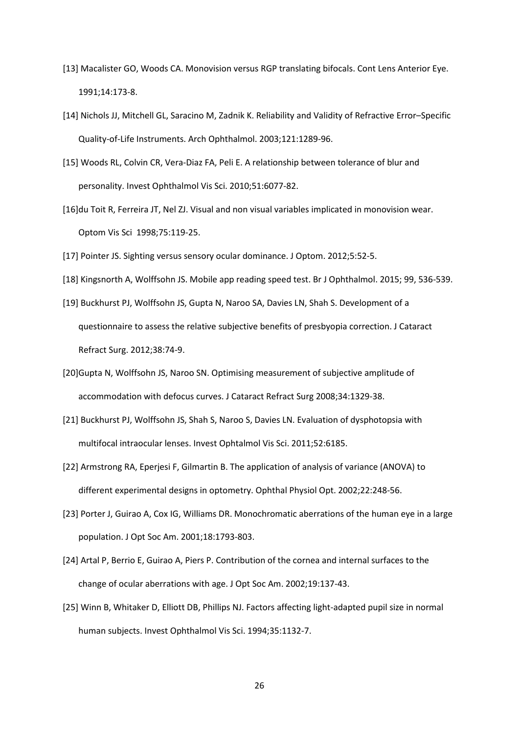- [13] Macalister GO, Woods CA. Monovision versus RGP translating bifocals. Cont Lens Anterior Eye. 1991;14:173-8.
- [14] Nichols JJ, Mitchell GL, Saracino M, Zadnik K. Reliability and Validity of Refractive Error–Specific Quality-of-Life Instruments. Arch Ophthalmol. 2003;121:1289-96.
- [15] Woods RL, Colvin CR, Vera-Diaz FA, Peli E. A relationship between tolerance of blur and personality. Invest Ophthalmol Vis Sci. 2010;51:6077-82.
- [16]du Toit R, Ferreira JT, Nel ZJ. Visual and non visual variables implicated in monovision wear. Optom Vis Sci 1998;75:119-25.
- [17] Pointer JS. Sighting versus sensory ocular dominance. J Optom. 2012;5:52-5.
- [18] Kingsnorth A, Wolffsohn JS. Mobile app reading speed test. Br J Ophthalmol. 2015; 99, 536-539.
- [19] Buckhurst PJ, Wolffsohn JS, Gupta N, Naroo SA, Davies LN, Shah S. Development of a questionnaire to assess the relative subjective benefits of presbyopia correction. J Cataract Refract Surg. 2012;38:74-9.
- [20]Gupta N, Wolffsohn JS, Naroo SN. Optimising measurement of subjective amplitude of accommodation with defocus curves. J Cataract Refract Surg 2008;34:1329-38.
- [21] Buckhurst PJ, Wolffsohn JS, Shah S, Naroo S, Davies LN. Evaluation of dysphotopsia with multifocal intraocular lenses. Invest Ophtalmol Vis Sci. 2011;52:6185.
- [22] Armstrong RA, Eperjesi F, Gilmartin B. The application of analysis of variance (ANOVA) to different experimental designs in optometry. Ophthal Physiol Opt. 2002;22:248-56.
- [23] Porter J, Guirao A, Cox IG, Williams DR. Monochromatic aberrations of the human eye in a large population. J Opt Soc Am. 2001;18:1793-803.
- [24] Artal P, Berrio E, Guirao A, Piers P. Contribution of the cornea and internal surfaces to the change of ocular aberrations with age. J Opt Soc Am. 2002;19:137-43.
- [25] Winn B, Whitaker D, Elliott DB, Phillips NJ. Factors affecting light-adapted pupil size in normal human subjects. Invest Ophthalmol Vis Sci. 1994;35:1132-7.